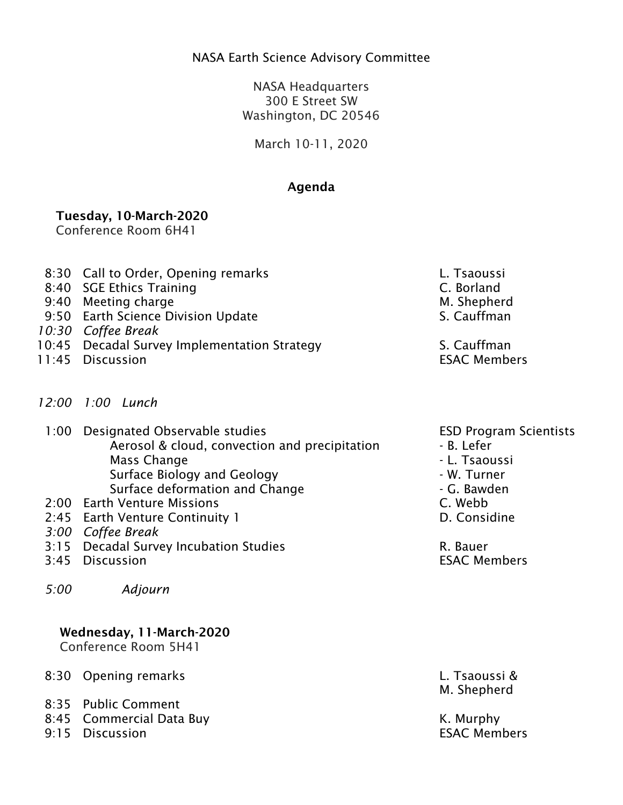### NASA Earth Science Advisory Committee

NASA Headquarters 300 E Street SW Washington, DC 20546

March 10-11, 2020

## Agenda

#### Tuesday, 10-March-2020

Conference Room 6H41

- 8:30 Call to Order, Opening remarks The L. Tsaoussi
- 8:40 SGE Ethics Training C. Borland
- 9:40 Meeting charge M. Shepherd
- 9:50 Earth Science Division Update S. Cauffman
- *10:30 Coffee Break*
- 10:45 Decadal Survey Implementation Strategy S. Cauffman
- 11:45 Discussion ESAC Members
- *12:00 1:00 Lunch*
- 1:00 Designated Observable studies ESD Program Scientists Aerosol & cloud, convection and precipitation - B. Lefer Mass Change - L. Tsaoussi Surface Biology and Geology **- W. Turner** - W. Turner Surface deformation and Change The C. Bawden
- 2:00 Earth Venture Missions C. Webb
- 2:45 Earth Venture Continuity 1 D. Considine
- *3:00 Coffee Break*
- 3:15 Decadal Survey Incubation Studies **R. Bauer** R. Bauer
- 3:45 Discussion ESAC Members
- *5:00 Adjourn*

# Wednesday, 11-March-2020

Conference Room 5H41

- 8:30 Opening remarks **Exercise 2:30** Opening remarks
- 8:35 Public Comment
- 8:45 Commercial Data Buy **K. Murphy** K. Murphy
- 9:15 Discussion ESAC Members

- 
- 
- 
- 
- 
- 

M. Shepherd